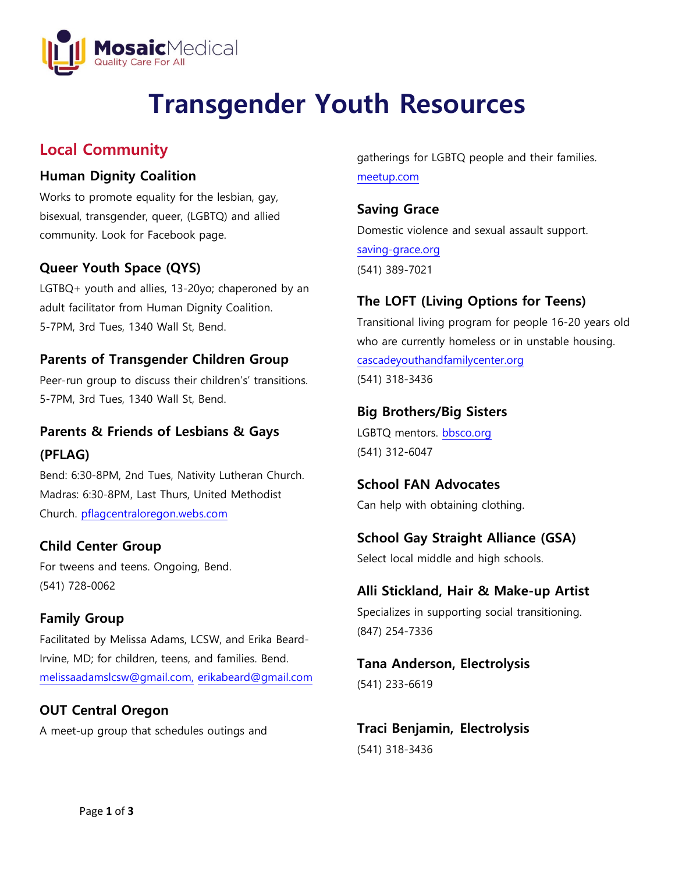

# **Transgender Youth Resources**

## **Local Community**

#### **Human Dignity Coalition**

Works to promote equality for the lesbian, gay, bisexual, transgender, queer, (LGBTQ) and allied community. Look for Facebook page.

#### **Queer Youth Space (QYS)**

LGTBQ+ youth and allies, 13-20yo; chaperoned by an adult facilitator from Human Dignity Coalition. 5-7PM, 3rd Tues, 1340 Wall St, Bend.

#### **Parents of Transgender Children Group**

Peer-run group to discuss their children's' transitions. 5-7PM, 3rd Tues, 1340 Wall St, Bend.

## **Parents & Friends of Lesbians & Gays (PFLAG)**

Bend: 6:30-8PM, 2nd Tues, Nativity Lutheran Church. Madras: 6:30-8PM, Last Thurs, United Methodist Church. [pflagcentraloregon.webs.com](http://www.pflagcentraloregon.webs.com/)

#### **Child Center Group**

For tweens and teens. Ongoing, Bend. (541) 728-0062

## **Family Group**

Facilitated by Melissa Adams, LCSW, and Erika Beard-Irvine, MD; for children, teens, and families. Bend. [melissaadamslcsw@gmail.com,](mailto:melissaadamslcsw@gmail.com) [erikabeard@gmail.com](mailto:erikabeard@gmail.com)

#### **OUT Central Oregon**

A meet-up group that schedules outings and

gatherings for LGBTQ people and their families. [meetup.com](http://www.meetup.com/)

## **Saving Grace**

Domestic violence and sexual assault support. saving-grace.org (541) 389-7021

## **The LOFT (Living Options for Teens)**

Transitional living program for people 16-20 years old who are currently homeless or in unstable housing. cascadeyouthandfamilycenter.org (541) 318-3436

#### **Big Brothers/Big Sisters**

LGBTQ mentors. bbsco.org (541) 312-6047

#### **School FAN Advocates**  Can help with obtaining clothing.

## **School Gay Straight Alliance (GSA)**

Select local middle and high schools.

## **Alli Stickland, Hair & Make-up Artist**

Specializes in supporting social transitioning. (847) 254-7336

## **Tana Anderson, Electrolysis** (541) 233-6619

**Traci Benjamin, Electrolysis** (541) 318-3436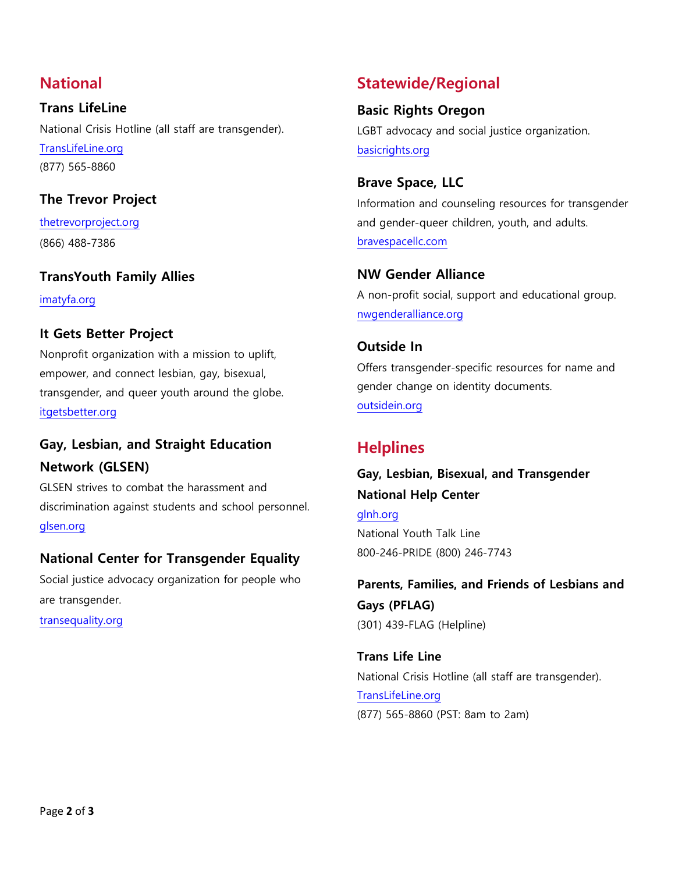## **National**

**Trans LifeLine**  National Crisis Hotline (all staff are transgender). TransLifeLine.org (877) 565-8860

#### **The Trevor Project**

thetrevorproject.org (866) 488-7386

#### **TransYouth Family Allies**

imatyfa.org

#### **It Gets Better Project**

Nonprofit organization with a mission to uplift, empower, and connect lesbian, gay, bisexual, transgender, and queer youth around the globe. [itgetsbetter.org](https://itgetsbetter.org/)

## **Gay, Lesbian, and Straight Education Network (GLSEN)**

GLSEN strives to combat the harassment and discrimination against students and school personnel. [glsen.org](http://www.glsen.org/)

#### **National Center for Transgender Equality**

Social justice advocacy organization for people who are transgender.

transequality.org

## **Statewide/Regional**

#### **Basic Rights Oregon**

LGBT advocacy and social justice organization. [basicrights.org](http://www.basicrights.org/)

#### **Brave Space, LLC**

Information and counseling resources for transgender and gender-queer children, youth, and adults. [bravespacellc.com](http://www.bravespacellc.com/)

#### **NW Gender Alliance**

A non-profit social, support and educational group. [nwgenderalliance.org](http://www.nwgenderalliance.org/)

#### **Outside In**

Offers transgender-specific resources for name and gender change on identity documents. outsidein.org

## **Helplines**

## **Gay, Lesbian, Bisexual, and Transgender National Help Center**

[glnh.org](http://www.glnh.org/) National Youth Talk Line 800-246-PRIDE (800) 246-7743

**Parents, Families, and Friends of Lesbians and Gays (PFLAG)** (301) 439-FLAG (Helpline)

**Trans Life Line** National Crisis Hotline (all staff are transgender). [TransLifeLine.org](http://www.translifeline.org/) (877) 565-8860 (PST: 8am to 2am)